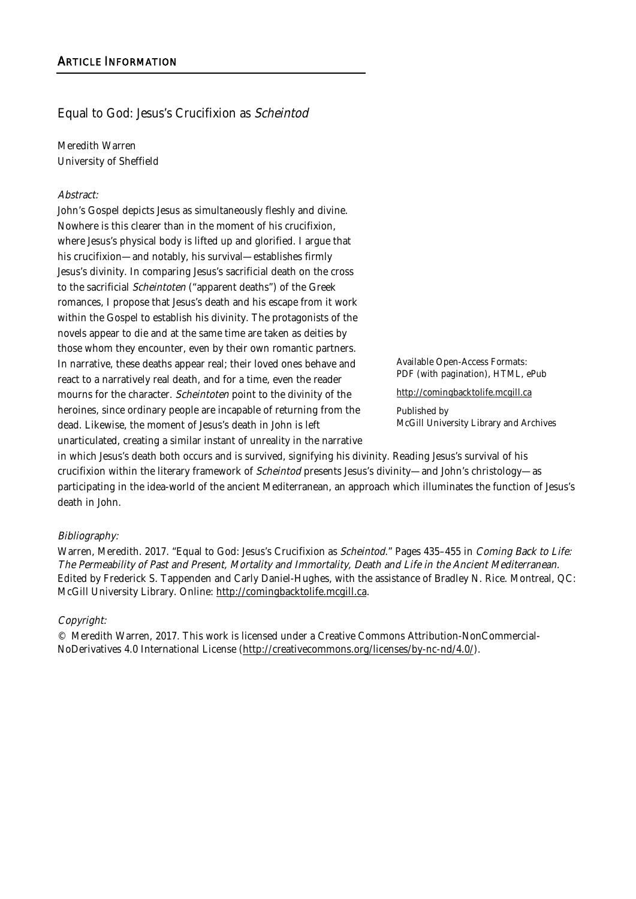## Equal to God: Jesus's Crucifixion as Scheintod

Meredith Warren University of Sheffield

#### Abstract:

John's Gospel depicts Jesus as simultaneously fleshly and divine. Nowhere is this clearer than in the moment of his crucifixion, where Jesus's physical body is lifted up and glorified. I argue that his crucifixion—and notably, his survival—establishes firmly Jesus's divinity. In comparing Jesus's sacrificial death on the cross to the sacrificial Scheintoten ("apparent deaths") of the Greek romances, I propose that Jesus's death and his escape from it work within the Gospel to establish his divinity. The protagonists of the novels appear to die and at the same time are taken as deities by those whom they encounter, even by their own romantic partners. In narrative, these deaths appear real; their loved ones behave and react to a narratively real death, and for a time, even the reader mourns for the character. Scheintoten point to the divinity of the heroines, since ordinary people are incapable of returning from the dead. Likewise, the moment of Jesus's death in John is left unarticulated, creating a similar instant of unreality in the narrative

Available Open-Access Formats: PDF (with pagination), HTML, ePub

http://comingbacktolife.mcgill.ca

Published by McGill University Library and Archives

in which Jesus's death both occurs and is survived, signifying his divinity. Reading Jesus's survival of his crucifixion within the literary framework of Scheintod presents Jesus's divinity—and John's christology—as participating in the idea-world of the ancient Mediterranean, an approach which illuminates the function of Jesus's death in John.

#### Bibliography:

Warren, Meredith. 2017. "Equal to God: Jesus's Crucifixion as Scheintod." Pages 435-455 in Coming Back to Life: The Permeability of Past and Present, Mortality and Immortality, Death and Life in the Ancient Mediterranean. Edited by Frederick S. Tappenden and Carly Daniel-Hughes, with the assistance of Bradley N. Rice. Montreal, QC: McGill University Library. Online: http://comingbacktolife.mcgill.ca.

#### Copyright:

© Meredith Warren, 2017. This work is licensed under a Creative Commons Attribution-NonCommercial-NoDerivatives 4.0 International License (http://creativecommons.org/licenses/by-nc-nd/4.0/).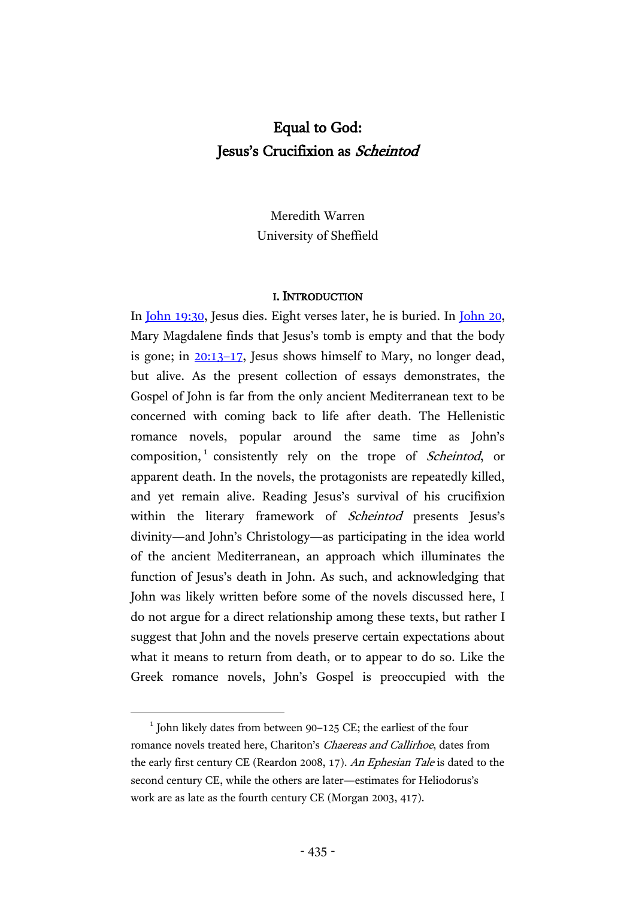# Equal to God: Jesus's Crucifixion as Scheintod

Meredith Warren University of Sheffield

#### I. INTRODUCTION

In [John 19:30,](http://www.academic-bible.com/bible-text/John19.30/NA/) Jesus dies. Eight verses later, he is buried. In [John 20,](http://www.academic-bible.com/bible-text/John20.1/NA/) Mary Magdalene finds that Jesus's tomb is empty and that the body is gone; in [20:13](http://www.academic-bible.com/bible-text/John20.13-17/NA/)–17, Jesus shows himself to Mary, no longer dead, but alive. As the present collection of essays demonstrates, the Gospel of John is far from the only ancient Mediterranean text to be concerned with coming back to life after death. The Hellenistic romance novels, popular around the same time as John's composition,<sup>1</sup> consistently rely on the trope of Scheintod, or apparent death. In the novels, the protagonists are repeatedly killed, and yet remain alive. Reading Jesus's survival of his crucifixion within the literary framework of *Scheintod* presents Jesus's divinity—and John's Christology—as participating in the idea world of the ancient Mediterranean, an approach which illuminates the function of Jesus's death in John. As such, and acknowledging that John was likely written before some of the novels discussed here, I do not argue for a direct relationship among these texts, but rather I suggest that John and the novels preserve certain expectations about what it means to return from death, or to appear to do so. Like the Greek romance novels, John's Gospel is preoccupied with the

<sup>&</sup>lt;sup>1</sup> John likely dates from between 90-125 CE; the earliest of the four romance novels treated here, Chariton's Chaereas and Callirhoe, dates from the early first century CE (Reardon 2008, 17). An Ephesian Tale is dated to the second century CE, while the others are later—estimates for Heliodorus's work are as late as the fourth century CE (Morgan 2003, 417).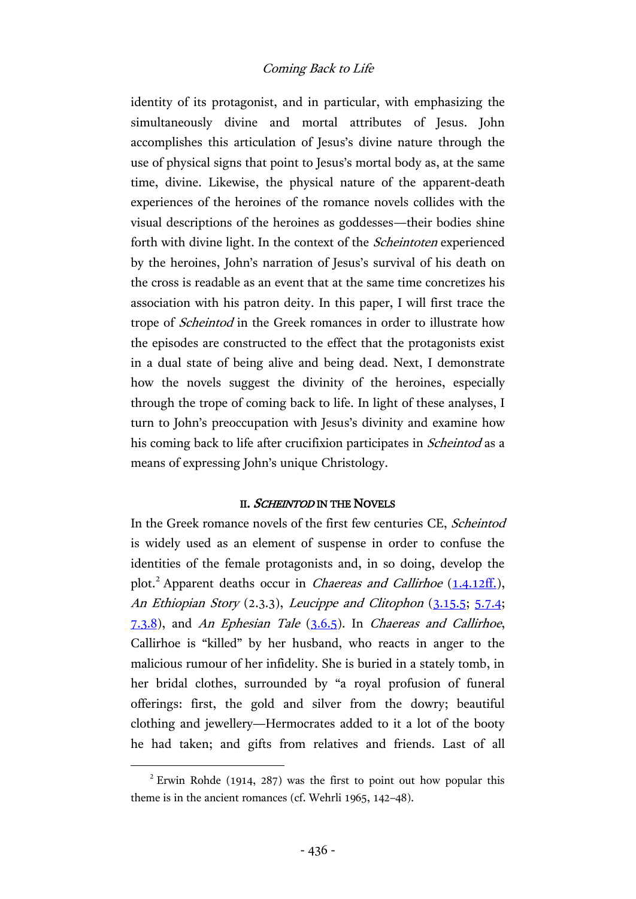identity of its protagonist, and in particular, with emphasizing the simultaneously divine and mortal attributes of Jesus. John accomplishes this articulation of Jesus's divine nature through the use of physical signs that point to Jesus's mortal body as, at the same time, divine. Likewise, the physical nature of the apparent-death experiences of the heroines of the romance novels collides with the visual descriptions of the heroines as goddesses—their bodies shine forth with divine light. In the context of the *Scheintoten* experienced by the heroines, John's narration of Jesus's survival of his death on the cross is readable as an event that at the same time concretizes his association with his patron deity. In this paper, I will first trace the trope of Scheintod in the Greek romances in order to illustrate how the episodes are constructed to the effect that the protagonists exist in a dual state of being alive and being dead. Next, I demonstrate how the novels suggest the divinity of the heroines, especially through the trope of coming back to life. In light of these analyses, I turn to John's preoccupation with Jesus's divinity and examine how his coming back to life after crucifixion participates in *Scheintod* as a means of expressing John's unique Christology.

## II. SCHEINTOD IN THE NOVELS

In the Greek romance novels of the first few centuries CE, Scheintod is widely used as an element of suspense in order to confuse the identities of the female protagonists and, in so doing, develop the plot.<sup>2</sup> Apparent deaths occur in Chaereas and Callirhoe [\(1.4.12ff.](http://hdl.handle.net/2027/hvd.32044009774860?urlappend=%3Bseq=87)), An Ethiopian Story (2.3.3), Leucippe and Clitophon [\(3.15.5;](https://archive.org/stream/achillestatiuswi00achiuoft#page/166/mode/2up) [5.7.4;](https://archive.org/stream/achillestatiuswi00achiuoft#page/250/mode/2up)  $7.3.8$ ), and An Ephesian Tale  $(3.6.5)$ . In Chaereas and Callirhoe, Callirhoe is "killed" by her husband, who reacts in anger to the malicious rumour of her infidelity. She is buried in a stately tomb, in her bridal clothes, surrounded by "a royal profusion of funeral offerings: first, the gold and silver from the dowry; beautiful clothing and jewellery—Hermocrates added to it a lot of the booty he had taken; and gifts from relatives and friends. Last of all

 $2$  Erwin Rohde (1914, 287) was the first to point out how popular this theme is in the ancient romances (cf. Wehrli 1965, 142–48).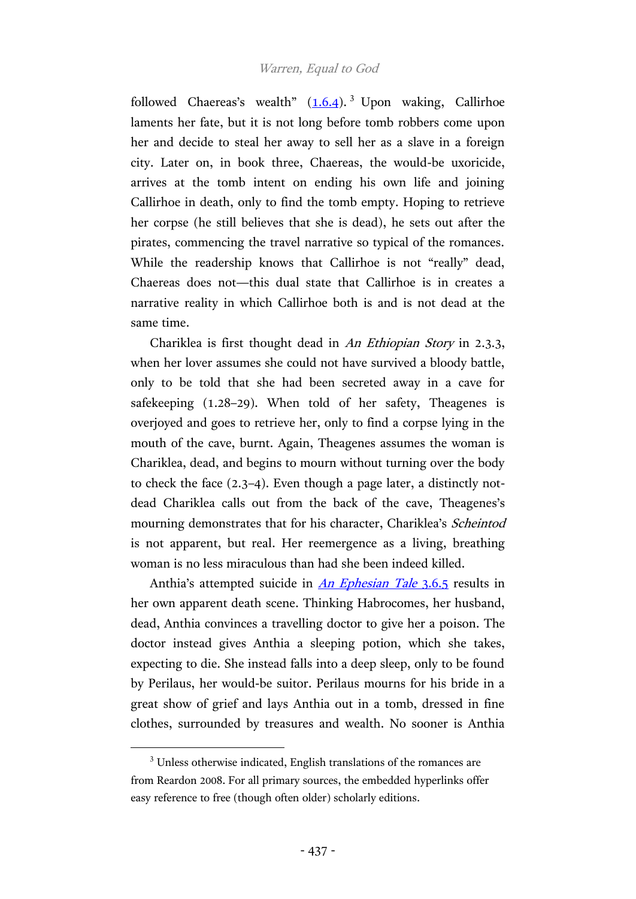followed Chaereas's wealth"  $(1.6.4)$ . Upon waking, Callirhoe laments her fate, but it is not long before tomb robbers come upon her and decide to steal her away to sell her as a slave in a foreign city. Later on, in book three, Chaereas, the would-be uxoricide, arrives at the tomb intent on ending his own life and joining Callirhoe in death, only to find the tomb empty. Hoping to retrieve her corpse (he still believes that she is dead), he sets out after the pirates, commencing the travel narrative so typical of the romances. While the readership knows that Callirhoe is not "really" dead, Chaereas does not—this dual state that Callirhoe is in creates a narrative reality in which Callirhoe both is and is not dead at the same time.

Chariklea is first thought dead in An Ethiopian Story in 2.3.3, when her lover assumes she could not have survived a bloody battle, only to be told that she had been secreted away in a cave for safekeeping (1.28–29). When told of her safety, Theagenes is overjoyed and goes to retrieve her, only to find a corpse lying in the mouth of the cave, burnt. Again, Theagenes assumes the woman is Chariklea, dead, and begins to mourn without turning over the body to check the face (2.3–4). Even though a page later, a distinctly notdead Chariklea calls out from the back of the cave, Theagenes's mourning demonstrates that for his character, Chariklea's Scheintod is not apparent, but real. Her reemergence as a living, breathing woman is no less miraculous than had she been indeed killed.

Anthia's attempted suicide in *[An Ephesian Tale](http://hdl.handle.net/2027/hvd.32044009774845?urlappend=%3Bseq=435)* 3.6.5 results in her own apparent death scene. Thinking Habrocomes, her husband, dead, Anthia convinces a travelling doctor to give her a poison. The doctor instead gives Anthia a sleeping potion, which she takes, expecting to die. She instead falls into a deep sleep, only to be found by Perilaus, her would-be suitor. Perilaus mourns for his bride in a great show of grief and lays Anthia out in a tomb, dressed in fine clothes, surrounded by treasures and wealth. No sooner is Anthia

<sup>&</sup>lt;sup>3</sup> Unless otherwise indicated, English translations of the romances are from Reardon 2008. For all primary sources, the embedded hyperlinks offer easy reference to free (though often older) scholarly editions.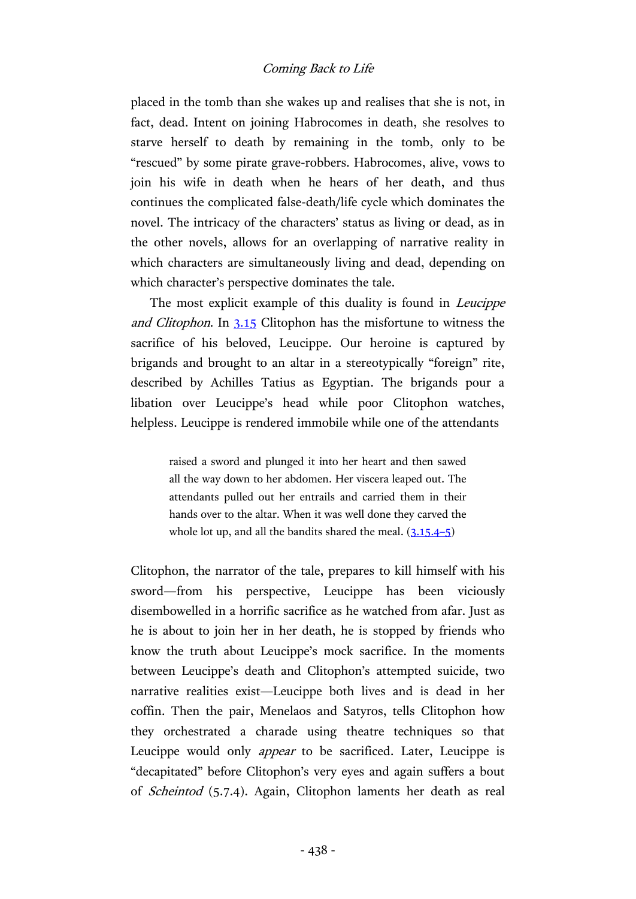placed in the tomb than she wakes up and realises that she is not, in fact, dead. Intent on joining Habrocomes in death, she resolves to starve herself to death by remaining in the tomb, only to be "rescued" by some pirate grave-robbers. Habrocomes, alive, vows to join his wife in death when he hears of her death, and thus continues the complicated false-death/life cycle which dominates the novel. The intricacy of the characters' status as living or dead, as in the other novels, allows for an overlapping of narrative reality in which characters are simultaneously living and dead, depending on which character's perspective dominates the tale.

The most explicit example of this duality is found in Leucippe and Clitophon. In [3.15](https://archive.org/stream/achillestatiuswi00achiuoft#page/164/mode/2up) Clitophon has the misfortune to witness the sacrifice of his beloved, Leucippe. Our heroine is captured by brigands and brought to an altar in a stereotypically "foreign" rite, described by Achilles Tatius as Egyptian. The brigands pour a libation over Leucippe's head while poor Clitophon watches, helpless. Leucippe is rendered immobile while one of the attendants

> raised a sword and plunged it into her heart and then sawed all the way down to her abdomen. Her viscera leaped out. The attendants pulled out her entrails and carried them in their hands over to the altar. When it was well done they carved the whole lot up, and all the bandits shared the meal.  $(3.15.4-5)$  $(3.15.4-5)$

Clitophon, the narrator of the tale, prepares to kill himself with his sword—from his perspective, Leucippe has been viciously disembowelled in a horrific sacrifice as he watched from afar. Just as he is about to join her in her death, he is stopped by friends who know the truth about Leucippe's mock sacrifice. In the moments between Leucippe's death and Clitophon's attempted suicide, two narrative realities exist—Leucippe both lives and is dead in her coffin. Then the pair, Menelaos and Satyros, tells Clitophon how they orchestrated a charade using theatre techniques so that Leucippe would only appear to be sacrificed. Later, Leucippe is "decapitated" before Clitophon's very eyes and again suffers a bout of Scheintod (5.7.4). Again, Clitophon laments her death as real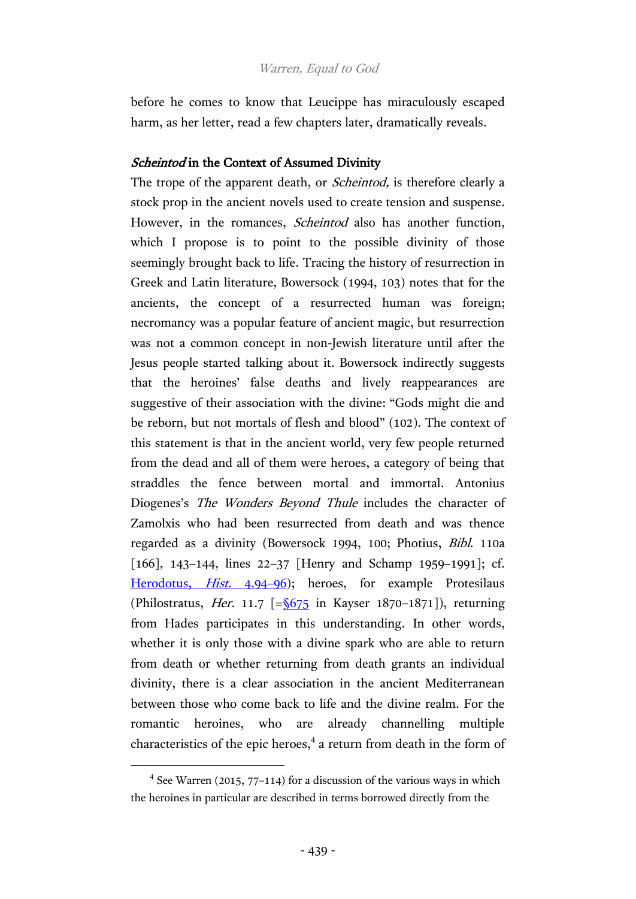before he comes to know that Leucippe has miraculously escaped harm, as her letter, read a few chapters later, dramatically reveals.

# Scheintod in the Context of Assumed Divinity

The trope of the apparent death, or *Scheintod*, is therefore clearly a stock prop in the ancient novels used to create tension and suspense. However, in the romances, *Scheintod* also has another function, which I propose is to point to the possible divinity of those seemingly brought back to life. Tracing the history of resurrection in Greek and Latin literature, Bowersock (1994, 103) notes that for the ancients, the concept of a resurrected human was foreign; necromancy was a popular feature of ancient magic, but resurrection was not a common concept in non-Jewish literature until after the Jesus people started talking about it. Bowersock indirectly suggests that the heroines' false deaths and lively reappearances are suggestive of their association with the divine: "Gods might die and be reborn, but not mortals of flesh and blood" (102). The context of this statement is that in the ancient world, very few people returned from the dead and all of them were heroes, a category of being that straddles the fence between mortal and immortal. Antonius Diogenes's The Wonders Beyond Thule includes the character of Zamolxis who had been resurrected from death and was thence regarded as a divinity (Bowersock 1994, 100; Photius, Bibl. 110a [166], 143–144, lines 22–37 [Henry and Schamp 1959–1991]; cf. [Herodotus,](http://data.perseus.org/citations/urn:cts:greekLit:tlg0016.tlg001.perseus-grc1:4.94) *Hist.* 4.94–96); heroes, for example Protesilaus (Philostratus, *Her.* 11.7  $\left[ = \frac{\sqrt{675}}{100} \right]$  in Kayser 1870–1871]), returning from Hades participates in this understanding. In other words, whether it is only those with a divine spark who are able to return from death or whether returning from death grants an individual divinity, there is a clear association in the ancient Mediterranean between those who come back to life and the divine realm. For the romantic heroines, who are already channelling multiple characteristics of the epic heroes,<sup>4</sup> a return from death in the form of

<sup>&</sup>lt;sup>4</sup> See Warren (2015, 77-114) for a discussion of the various ways in which the heroines in particular are described in terms borrowed directly from the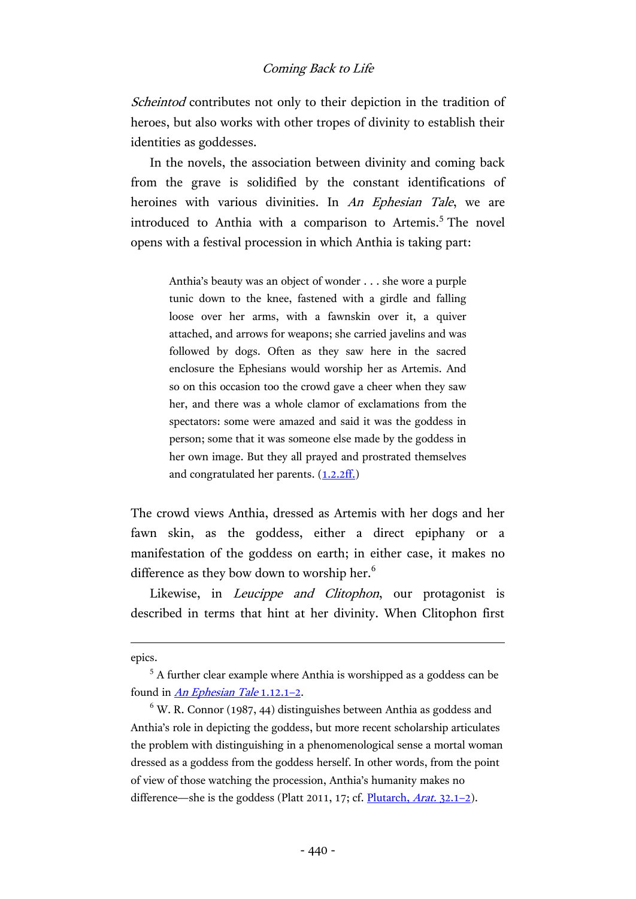Scheintod contributes not only to their depiction in the tradition of heroes, but also works with other tropes of divinity to establish their identities as goddesses.

In the novels, the association between divinity and coming back from the grave is solidified by the constant identifications of heroines with various divinities. In An Ephesian Tale, we are introduced to Anthia with a comparison to Artemis.<sup>5</sup> The novel opens with a festival procession in which Anthia is taking part:

> Anthia's beauty was an object of wonder . . . she wore a purple tunic down to the knee, fastened with a girdle and falling loose over her arms, with a fawnskin over it, a quiver attached, and arrows for weapons; she carried javelins and was followed by dogs. Often as they saw here in the sacred enclosure the Ephesians would worship her as Artemis. And so on this occasion too the crowd gave a cheer when they saw her, and there was a whole clamor of exclamations from the spectators: some were amazed and said it was the goddess in person; some that it was someone else made by the goddess in her own image. But they all prayed and prostrated themselves and congratulated her parents.  $(1.2.2ff)$

The crowd views Anthia, dressed as Artemis with her dogs and her fawn skin, as the goddess, either a direct epiphany or a manifestation of the goddess on earth; in either case, it makes no difference as they bow down to worship her.<sup>6</sup>

Likewise, in *Leucippe and Clitophon*, our protagonist is described in terms that hint at her divinity. When Clitophon first

epics.

<sup>5</sup> A further clear example where Anthia is worshipped as a goddess can be found in *[An Ephesian Tale](http://hdl.handle.net/2027/hvd.32044009774845?urlappend=%3Bseq=409)* 1.12.1-2.

 $6$  W. R. Connor (1987, 44) distinguishes between Anthia as goddess and Anthia's role in depicting the goddess, but more recent scholarship articulates the problem with distinguishing in a phenomenological sense a mortal woman dressed as a goddess from the goddess herself. In other words, from the point of view of those watching the procession, Anthia's humanity makes no difference—she is the goddess (Platt 2011, 17; cf. [Plutarch,](http://data.perseus.org/citations/urn:cts:greekLit:tlg0007.tlg063.perseus-grc1:32) Arat. 32.1–2).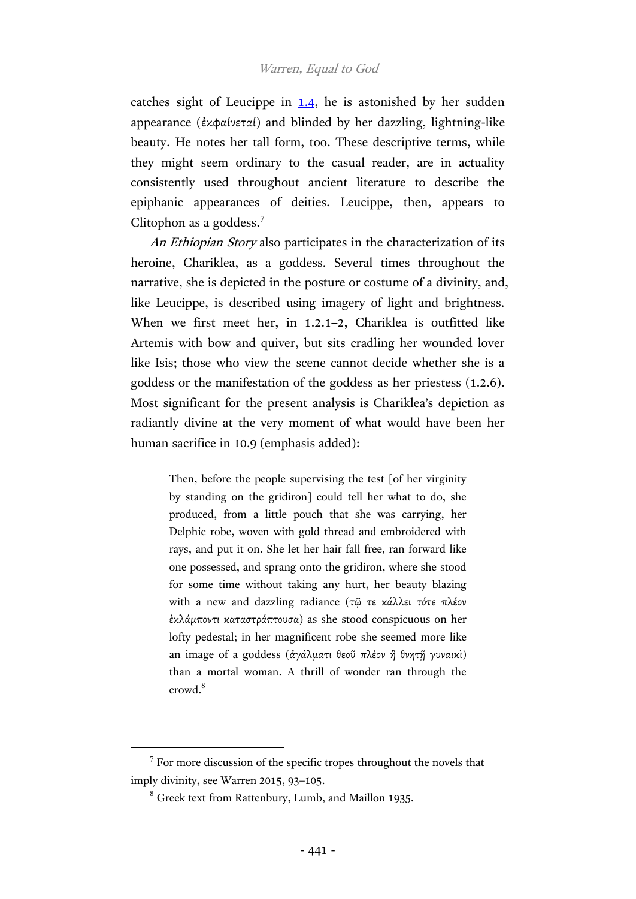catches sight of Leucippe in  $1.4$ , he is astonished by her sudden appearance (ἐκφαίνεταί) and blinded by her dazzling, lightning-like beauty. He notes her tall form, too. These descriptive terms, while they might seem ordinary to the casual reader, are in actuality consistently used throughout ancient literature to describe the epiphanic appearances of deities. Leucippe, then, appears to Clitophon as a goddess.<sup>7</sup>

An Ethiopian Story also participates in the characterization of its heroine, Chariklea, as a goddess. Several times throughout the narrative, she is depicted in the posture or costume of a divinity, and, like Leucippe, is described using imagery of light and brightness. When we first meet her, in 1.2.1-2, Chariklea is outfitted like Artemis with bow and quiver, but sits cradling her wounded lover like Isis; those who view the scene cannot decide whether she is a goddess or the manifestation of the goddess as her priestess (1.2.6). Most significant for the present analysis is Chariklea's depiction as radiantly divine at the very moment of what would have been her human sacrifice in 10.9 (emphasis added):

> Then, before the people supervising the test [of her virginity by standing on the gridiron] could tell her what to do, she produced, from a little pouch that she was carrying, her Delphic robe, woven with gold thread and embroidered with rays, and put it on. She let her hair fall free, ran forward like one possessed, and sprang onto the gridiron, where she stood for some time without taking any hurt, her beauty blazing with a new and dazzling radiance (τῷ τε κάλλει τότε πλέον ἐκλάµποντι καταστράπτουσα) as she stood conspicuous on her lofty pedestal; in her magnificent robe she seemed more like an image of a goddess (ἀγάλματι θεοῦ πλέον ἢ θνητῆ γυναικὶ) than a mortal woman. A thrill of wonder ran through the crowd.<sup>8</sup>

<sup>&</sup>lt;sup>7</sup> For more discussion of the specific tropes throughout the novels that imply divinity, see Warren 2015, 93–105.

<sup>8</sup> Greek text from Rattenbury, Lumb, and Maillon 1935.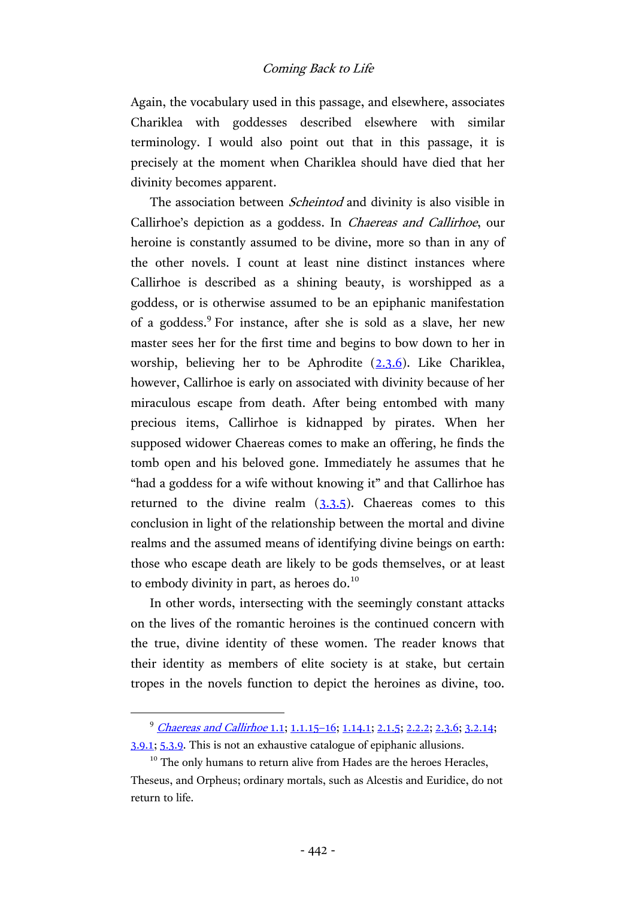Again, the vocabulary used in this passage, and elsewhere, associates Chariklea with goddesses described elsewhere with similar terminology. I would also point out that in this passage, it is precisely at the moment when Chariklea should have died that her divinity becomes apparent.

The association between *Scheintod* and divinity is also visible in Callirhoe's depiction as a goddess. In Chaereas and Callirhoe, our heroine is constantly assumed to be divine, more so than in any of the other novels. I count at least nine distinct instances where Callirhoe is described as a shining beauty, is worshipped as a goddess, or is otherwise assumed to be an epiphanic manifestation of a goddess.<sup>9</sup> For instance, after she is sold as a slave, her new master sees her for the first time and begins to bow down to her in worship, believing her to be Aphrodite [\(2.3.6\)](http://hdl.handle.net/2027/hvd.32044009774860?urlappend=%3Bseq=107). Like Chariklea, however, Callirhoe is early on associated with divinity because of her miraculous escape from death. After being entombed with many precious items, Callirhoe is kidnapped by pirates. When her supposed widower Chaereas comes to make an offering, he finds the tomb open and his beloved gone. Immediately he assumes that he "had a goddess for a wife without knowing it" and that Callirhoe has returned to the divine realm [\(3.3.5\)](http://hdl.handle.net/2027/hvd.32044009774860?urlappend=%3Bseq=127). Chaereas comes to this conclusion in light of the relationship between the mortal and divine realms and the assumed means of identifying divine beings on earth: those who escape death are likely to be gods themselves, or at least to embody divinity in part, as heroes do. $^{10}$ 

In other words, intersecting with the seemingly constant attacks on the lives of the romantic heroines is the continued concern with the true, divine identity of these women. The reader knows that their identity as members of elite society is at stake, but certain tropes in the novels function to depict the heroines as divine, too.

<sup>&</sup>lt;sup>9</sup> [Chaereas and Callirhoe](http://hdl.handle.net/2027/hvd.32044009774860?urlappend=%3Bseq=79) 1.1; [1.1.15](http://hdl.handle.net/2027/hvd.32044009774860?urlappend=%3Bseq=81)-16; [1.14.1;](http://hdl.handle.net/2027/hvd.32044009774860?urlappend=%3Bseq=100) [2.1.5;](http://hdl.handle.net/2027/hvd.32044009774860?urlappend=%3Bseq=103) [2.2.2;](http://hdl.handle.net/2027/hvd.32044009774860?urlappend=%3Bseq=104) [2.3.6;](http://hdl.handle.net/2027/hvd.32044009774860?urlappend=%3Bseq=107) [3.2.14;](http://hdl.handle.net/2027/hvd.32044009774860?urlappend=%3Bseq=125) [3.9.1;](http://hdl.handle.net/2027/hvd.32044009774860?urlappend=%3Bseq=140) [5.3.9.](http://hdl.handle.net/2027/hvd.32044009774860?urlappend=%3Bseq=166) This is not an exhaustive catalogue of epiphanic allusions.

 $10$  The only humans to return alive from Hades are the heroes Heracles, Theseus, and Orpheus; ordinary mortals, such as Alcestis and Euridice, do not return to life.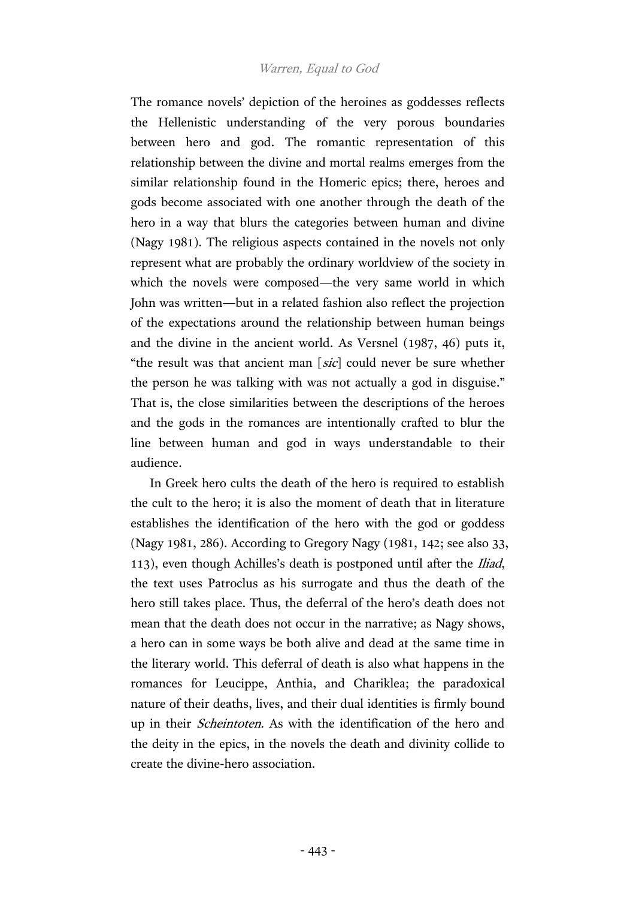The romance novels' depiction of the heroines as goddesses reflects the Hellenistic understanding of the very porous boundaries between hero and god. The romantic representation of this relationship between the divine and mortal realms emerges from the similar relationship found in the Homeric epics; there, heroes and gods become associated with one another through the death of the hero in a way that blurs the categories between human and divine (Nagy 1981). The religious aspects contained in the novels not only represent what are probably the ordinary worldview of the society in which the novels were composed—the very same world in which John was written—but in a related fashion also reflect the projection of the expectations around the relationship between human beings and the divine in the ancient world. As Versnel (1987, 46) puts it, "the result was that ancient man [sic] could never be sure whether the person he was talking with was not actually a god in disguise." That is, the close similarities between the descriptions of the heroes and the gods in the romances are intentionally crafted to blur the line between human and god in ways understandable to their audience.

In Greek hero cults the death of the hero is required to establish the cult to the hero; it is also the moment of death that in literature establishes the identification of the hero with the god or goddess (Nagy 1981, 286). According to Gregory Nagy (1981, 142; see also 33, 113), even though Achilles's death is postponed until after the *Iliad*, the text uses Patroclus as his surrogate and thus the death of the hero still takes place. Thus, the deferral of the hero's death does not mean that the death does not occur in the narrative; as Nagy shows, a hero can in some ways be both alive and dead at the same time in the literary world. This deferral of death is also what happens in the romances for Leucippe, Anthia, and Chariklea; the paradoxical nature of their deaths, lives, and their dual identities is firmly bound up in their Scheintoten. As with the identification of the hero and the deity in the epics, in the novels the death and divinity collide to create the divine-hero association.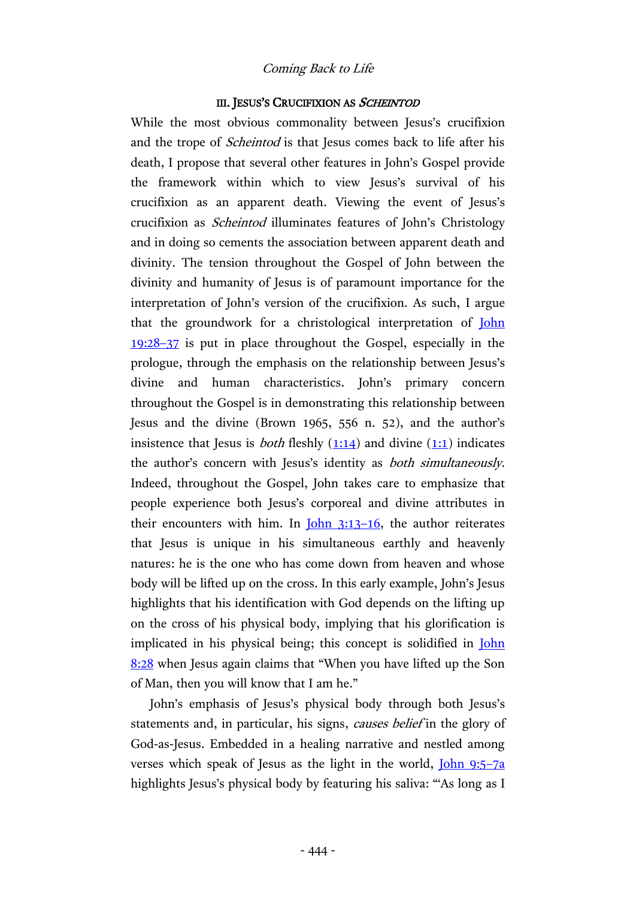#### III. JESUS'S CRUCIFIXION AS SCHEINTOD

While the most obvious commonality between Jesus's crucifixion and the trope of *Scheintod* is that Jesus comes back to life after his death, I propose that several other features in John's Gospel provide the framework within which to view Jesus's survival of his crucifixion as an apparent death. Viewing the event of Jesus's crucifixion as Scheintod illuminates features of John's Christology and in doing so cements the association between apparent death and divinity. The tension throughout the Gospel of John between the divinity and humanity of Jesus is of paramount importance for the interpretation of John's version of the crucifixion. As such, I argue that the groundwork for a christological interpretation of John [19:28](http://www.academic-bible.com/bible-text/John19.28-37/NA/)–37 is put in place throughout the Gospel, especially in the prologue, through the emphasis on the relationship between Jesus's divine and human characteristics. John's primary concern throughout the Gospel is in demonstrating this relationship between Jesus and the divine (Brown 1965, 556 n. 52), and the author's insistence that Jesus is *both* fleshly  $(1:14)$  and divine  $(1:1)$  indicates the author's concern with Jesus's identity as both simultaneously. Indeed, throughout the Gospel, John takes care to emphasize that people experience both Jesus's corporeal and divine attributes in their encounters with him. In  $\underline{John}$  3:13-16, the author reiterates that Jesus is unique in his simultaneous earthly and heavenly natures: he is the one who has come down from heaven and whose body will be lifted up on the cross. In this early example, John's Jesus highlights that his identification with God depends on the lifting up on the cross of his physical body, implying that his glorification is implicated in his physical being; this concept is solidified in [John](http://www.academic-bible.com/bible-text/John8.28/NA/)  [8:28](http://www.academic-bible.com/bible-text/John8.28/NA/) when Jesus again claims that "When you have lifted up the Son of Man, then you will know that I am he."

John's emphasis of Jesus's physical body through both Jesus's statements and, in particular, his signs, *causes belief* in the glory of God-as-Jesus. Embedded in a healing narrative and nestled among verses which speak of Jesus as the light in the world, [John 9:5](http://www.academic-bible.com/bible-text/John9.5-7/NA/)–7a highlights Jesus's physical body by featuring his saliva: "'As long as I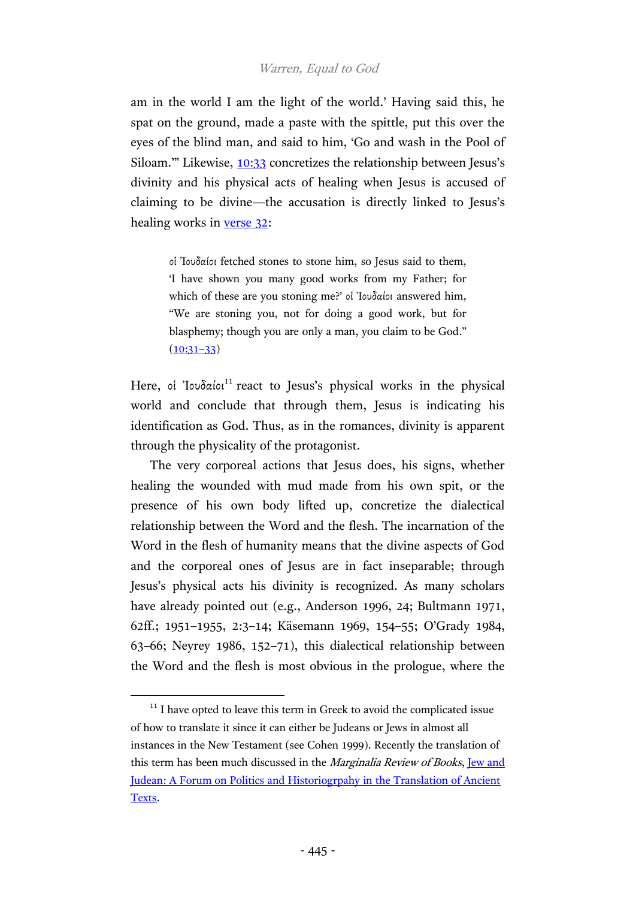am in the world I am the light of the world.' Having said this, he spat on the ground, made a paste with the spittle, put this over the eyes of the blind man, and said to him, 'Go and wash in the Pool of Siloam.'" Likewise, [10:33](http://www.academic-bible.com/bible-text/John10.33/NA/) concretizes the relationship between Jesus's divinity and his physical acts of healing when Jesus is accused of claiming to be divine—the accusation is directly linked to Jesus's healing works in <u>verse 32</u>:

οἱ Ἰουδαίοι fetched stones to stone him, so Jesus said to them, 'I have shown you many good works from my Father; for which of these are you stoning me?' οἱ Ἰουδαίοι answered him, "We are stoning you, not for doing a good work, but for blasphemy; though you are only a man, you claim to be God."  $(10:31-33)$  $(10:31-33)$ 

Here, οἱ Ἰουδαίοι<sup>11</sup> react to Jesus's physical works in the physical world and conclude that through them, Jesus is indicating his identification as God. Thus, as in the romances, divinity is apparent through the physicality of the protagonist.

The very corporeal actions that Jesus does, his signs, whether healing the wounded with mud made from his own spit, or the presence of his own body lifted up, concretize the dialectical relationship between the Word and the flesh. The incarnation of the Word in the flesh of humanity means that the divine aspects of God and the corporeal ones of Jesus are in fact inseparable; through Jesus's physical acts his divinity is recognized. As many scholars have already pointed out (e.g., Anderson 1996, 24; Bultmann 1971, 62ff.; 1951–1955, 2:3–14; Käsemann 1969, 154–55; O'Grady 1984, 63–66; Neyrey 1986, 152–71), this dialectical relationship between the Word and the flesh is most obvious in the prologue, where the

 $11$  I have opted to leave this term in Greek to avoid the complicated issue of how to translate it since it can either be Judeans or Jews in almost all instances in the New Testament (see Cohen 1999). Recently the translation of this term has been much discussed in the *Marginalia Review of Books*, <u>Jew and</u> [Judean: A Forum on Politics and Historiogrpahy in the Translation of Ancient](http://marginalia.lareviewofbooks.org/jew-judean-forum/)  [Texts.](http://marginalia.lareviewofbooks.org/jew-judean-forum/)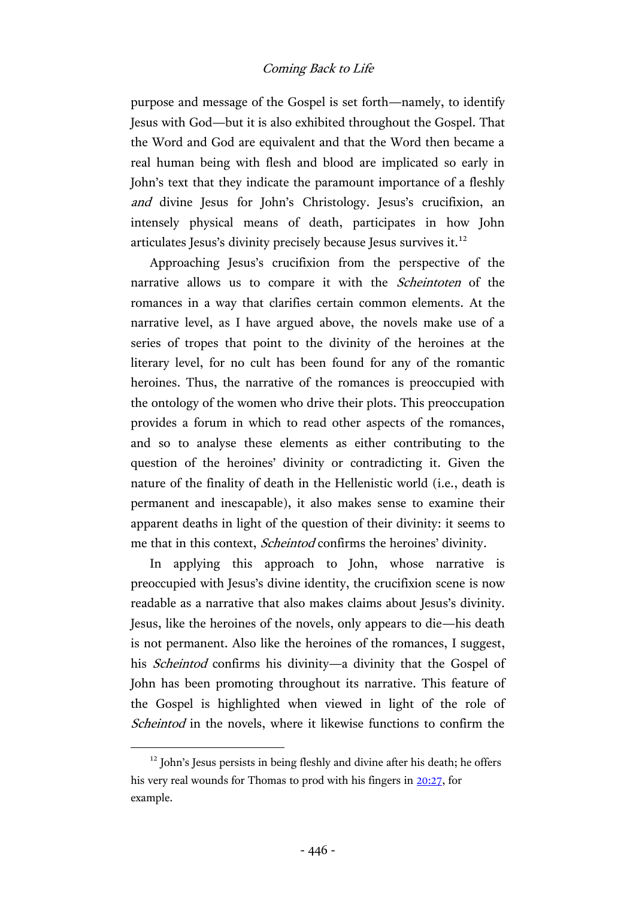purpose and message of the Gospel is set forth—namely, to identify Jesus with God—but it is also exhibited throughout the Gospel. That the Word and God are equivalent and that the Word then became a real human being with flesh and blood are implicated so early in John's text that they indicate the paramount importance of a fleshly and divine Jesus for John's Christology. Jesus's crucifixion, an intensely physical means of death, participates in how John articulates Jesus's divinity precisely because Jesus survives it. $^{12}$ 

Approaching Jesus's crucifixion from the perspective of the narrative allows us to compare it with the Scheintoten of the romances in a way that clarifies certain common elements. At the narrative level, as I have argued above, the novels make use of a series of tropes that point to the divinity of the heroines at the literary level, for no cult has been found for any of the romantic heroines. Thus, the narrative of the romances is preoccupied with the ontology of the women who drive their plots. This preoccupation provides a forum in which to read other aspects of the romances, and so to analyse these elements as either contributing to the question of the heroines' divinity or contradicting it. Given the nature of the finality of death in the Hellenistic world (i.e., death is permanent and inescapable), it also makes sense to examine their apparent deaths in light of the question of their divinity: it seems to me that in this context, Scheintod confirms the heroines' divinity.

In applying this approach to John, whose narrative is preoccupied with Jesus's divine identity, the crucifixion scene is now readable as a narrative that also makes claims about Jesus's divinity. Jesus, like the heroines of the novels, only appears to die—his death is not permanent. Also like the heroines of the romances, I suggest, his *Scheintod* confirms his divinity—a divinity that the Gospel of John has been promoting throughout its narrative. This feature of the Gospel is highlighted when viewed in light of the role of Scheintod in the novels, where it likewise functions to confirm the

<sup>&</sup>lt;sup>12</sup> John's Jesus persists in being fleshly and divine after his death; he offers his very real wounds for Thomas to prod with his fingers in [20:27,](http://www.academic-bible.com/bible-text/John20.27/NA/) for example.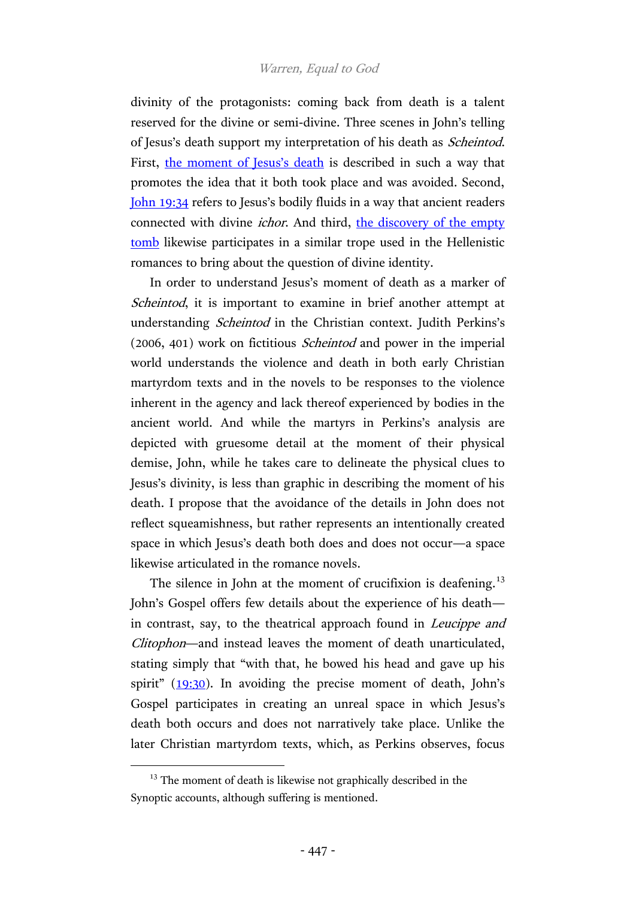divinity of the protagonists: coming back from death is a talent reserved for the divine or semi-divine. Three scenes in John's telling of Jesus's death support my interpretation of his death as Scheintod. First, [the moment of Jesu](http://www.academic-bible.com/bible-text/John19.30/NA/)s's death is described in such a way that promotes the idea that it both took place and was avoided. Second, [John 19:34](http://www.academic-bible.com/bible-text/John19.34/NA/) refers to Jesus's bodily fluids in a way that ancient readers connected with divine *ichor*. And third, the discovery of the empty [tomb](http://www.academic-bible.com/bible-text/John20.1/NA/) likewise participates in a similar trope used in the Hellenistic romances to bring about the question of divine identity.

In order to understand Jesus's moment of death as a marker of Scheintod, it is important to examine in brief another attempt at understanding Scheintod in the Christian context. Judith Perkins's (2006, 401) work on fictitious Scheintod and power in the imperial world understands the violence and death in both early Christian martyrdom texts and in the novels to be responses to the violence inherent in the agency and lack thereof experienced by bodies in the ancient world. And while the martyrs in Perkins's analysis are depicted with gruesome detail at the moment of their physical demise, John, while he takes care to delineate the physical clues to Jesus's divinity, is less than graphic in describing the moment of his death. I propose that the avoidance of the details in John does not reflect squeamishness, but rather represents an intentionally created space in which Jesus's death both does and does not occur—a space likewise articulated in the romance novels.

The silence in John at the moment of crucifixion is deafening.<sup>13</sup> John's Gospel offers few details about the experience of his death in contrast, say, to the theatrical approach found in Leucippe and Clitophon—and instead leaves the moment of death unarticulated, stating simply that "with that, he bowed his head and gave up his spirit" ([19:30\)](http://www.academic-bible.com/bible-text/John19.30/NA/). In avoiding the precise moment of death, John's Gospel participates in creating an unreal space in which Jesus's death both occurs and does not narratively take place. Unlike the later Christian martyrdom texts, which, as Perkins observes, focus

<sup>&</sup>lt;sup>13</sup> The moment of death is likewise not graphically described in the Synoptic accounts, although suffering is mentioned.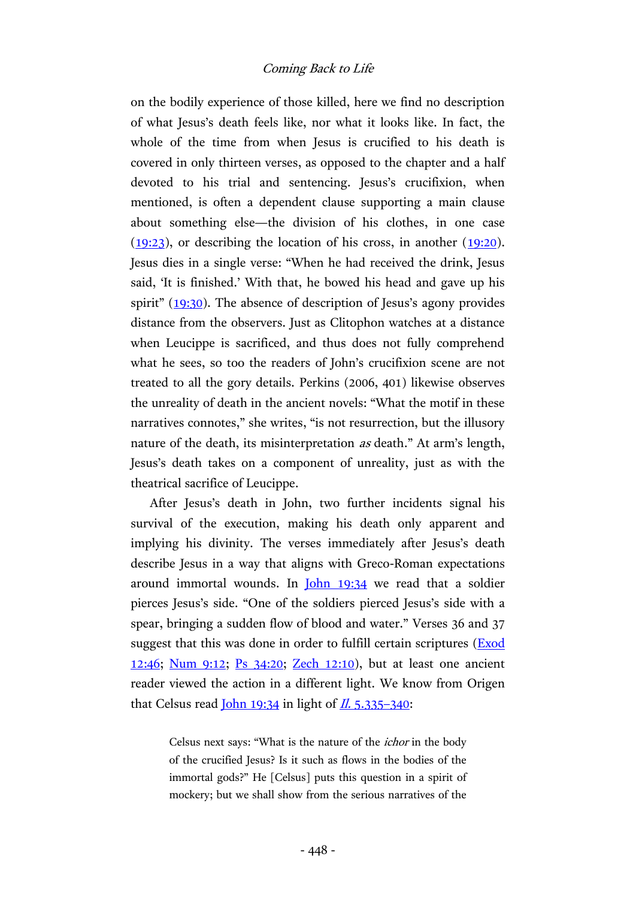on the bodily experience of those killed, here we find no description of what Jesus's death feels like, nor what it looks like. In fact, the whole of the time from when Jesus is crucified to his death is covered in only thirteen verses, as opposed to the chapter and a half devoted to his trial and sentencing. Jesus's crucifixion, when mentioned, is often a dependent clause supporting a main clause about something else—the division of his clothes, in one case  $(19:23)$ , or describing the location of his cross, in another  $(19:20)$ . Jesus dies in a single verse: "When he had received the drink, Jesus said, 'It is finished.' With that, he bowed his head and gave up his spirit" ([19:30\)](http://www.academic-bible.com/bible-text/John19.30/NA/). The absence of description of Jesus's agony provides distance from the observers. Just as Clitophon watches at a distance when Leucippe is sacrificed, and thus does not fully comprehend what he sees, so too the readers of John's crucifixion scene are not treated to all the gory details. Perkins (2006, 401) likewise observes the unreality of death in the ancient novels: "What the motif in these narratives connotes," she writes, "is not resurrection, but the illusory nature of the death, its misinterpretation *as* death." At arm's length, Jesus's death takes on a component of unreality, just as with the theatrical sacrifice of Leucippe.

After Jesus's death in John, two further incidents signal his survival of the execution, making his death only apparent and implying his divinity. The verses immediately after Jesus's death describe Jesus in a way that aligns with Greco-Roman expectations around immortal wounds. In [John 19:34](http://www.academic-bible.com/bible-text/John19.34/NA/) we read that a soldier pierces Jesus's side. "One of the soldiers pierced Jesus's side with a spear, bringing a sudden flow of blood and water." Verses 36 and 37 suggest that this was done in order to fulfill certain scriptures [\(Exod](http://www.academic-bible.com/bible-text/Exodus12/BHS/)  [12:46;](http://www.academic-bible.com/bible-text/Exodus12/BHS/) [Num 9:12;](http://www.academic-bible.com/bible-text/Numbers9/BHS/) [Ps 34:20;](http://www.academic-bible.com/bible-text/Psalm34/BHS/) [Zech 12:10\)](http://www.academic-bible.com/bible-text/Zechariah12/BHS/), but at least one ancient reader viewed the action in a different light. We know from Origen that Celsus read  $\underline{John 19:34}$  in light of  $\underline{Il. 5.335-340}$  $\underline{Il. 5.335-340}$  $\underline{Il. 5.335-340}$ :

> Celsus next says: "What is the nature of the ichor in the body of the crucified Jesus? Is it such as flows in the bodies of the immortal gods?" He [Celsus] puts this question in a spirit of mockery; but we shall show from the serious narratives of the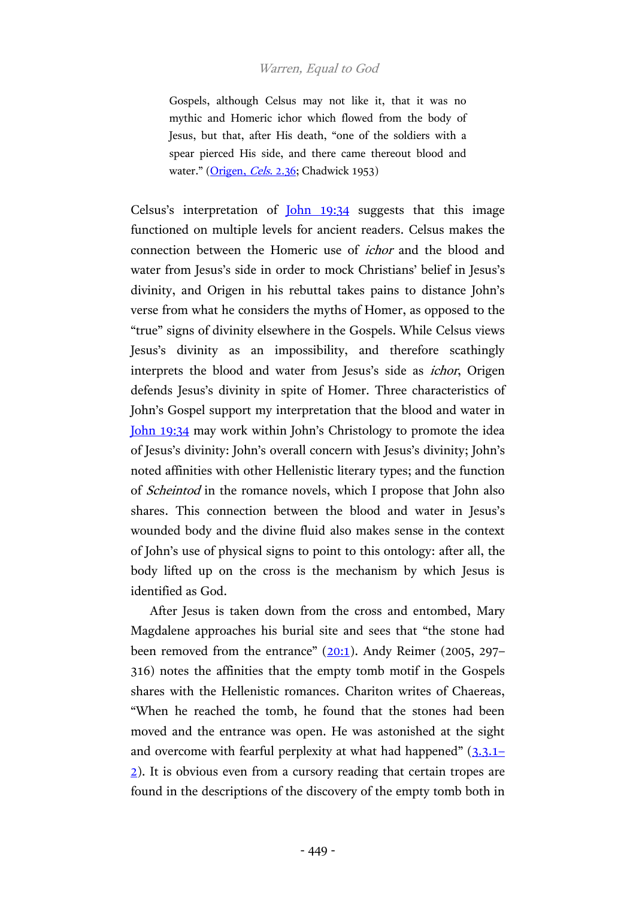Gospels, although Celsus may not like it, that it was no mythic and Homeric ichor which flowed from the body of Jesus, but that, after His death, "one of the soldiers with a spear pierced His side, and there came thereout blood and water." [\(Origen,](http://hdl.handle.net/2027/njp.32101075296036?urlappend=%3Bseq=455) Cels. 2.36; Chadwick 1953)

Celsus's interpretation of <u>[John 19:34](http://www.academic-bible.com/bible-text/John19.34/NA/)</u> suggests that this image functioned on multiple levels for ancient readers. Celsus makes the connection between the Homeric use of ichor and the blood and water from Jesus's side in order to mock Christians' belief in Jesus's divinity, and Origen in his rebuttal takes pains to distance John's verse from what he considers the myths of Homer, as opposed to the "true" signs of divinity elsewhere in the Gospels. While Celsus views Jesus's divinity as an impossibility, and therefore scathingly interprets the blood and water from Jesus's side as *ichor*, Origen defends Jesus's divinity in spite of Homer. Three characteristics of John's Gospel support my interpretation that the blood and water in [John 19:34](http://www.academic-bible.com/bible-text/John19.34/NA/) may work within John's Christology to promote the idea of Jesus's divinity: John's overall concern with Jesus's divinity; John's noted affinities with other Hellenistic literary types; and the function of Scheintod in the romance novels, which I propose that John also shares. This connection between the blood and water in Jesus's wounded body and the divine fluid also makes sense in the context of John's use of physical signs to point to this ontology: after all, the body lifted up on the cross is the mechanism by which Jesus is identified as God.

After Jesus is taken down from the cross and entombed, Mary Magdalene approaches his burial site and sees that "the stone had been removed from the entrance"  $(20:1)$  $(20:1)$ . Andy Reimer (2005, 297– 316) notes the affinities that the empty tomb motif in the Gospels shares with the Hellenistic romances. Chariton writes of Chaereas, "When he reached the tomb, he found that the stones had been moved and the entrance was open. He was astonished at the sight and overcome with fearful perplexity at what had happened"  $(3.3.1)$  $(3.3.1)$ [2\)](http://hdl.handle.net/2027/hvd.32044009774860?urlappend=%3Bseq=126). It is obvious even from a cursory reading that certain tropes are found in the descriptions of the discovery of the empty tomb both in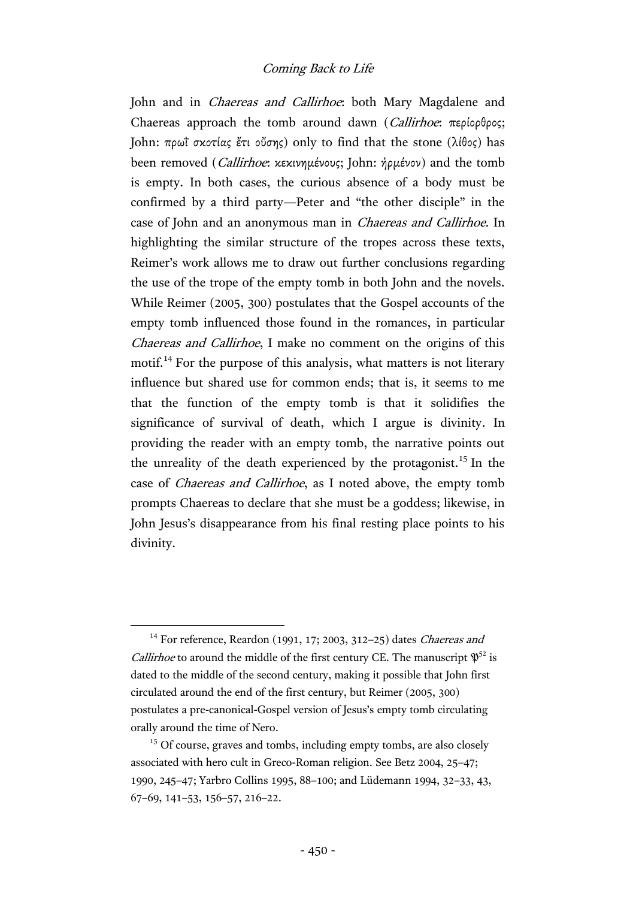John and in *Chaereas and Callirhoe*: both Mary Magdalene and Chaereas approach the tomb around dawn (Callirhoe: περίορθρος; John: πρωΐ σκοτίας ἔτι οὔσης) only to find that the stone (λίθος) has been removed (Callirhoe: κεκινημένους; John: ἠρμένον) and the tomb is empty. In both cases, the curious absence of a body must be confirmed by a third party—Peter and "the other disciple" in the case of John and an anonymous man in Chaereas and Callirhoe. In highlighting the similar structure of the tropes across these texts, Reimer's work allows me to draw out further conclusions regarding the use of the trope of the empty tomb in both John and the novels. While Reimer (2005, 300) postulates that the Gospel accounts of the empty tomb influenced those found in the romances, in particular Chaereas and Callirhoe, I make no comment on the origins of this motif.<sup>14</sup> For the purpose of this analysis, what matters is not literary influence but shared use for common ends; that is, it seems to me that the function of the empty tomb is that it solidifies the significance of survival of death, which I argue is divinity. In providing the reader with an empty tomb, the narrative points out the unreality of the death experienced by the protagonist.<sup>15</sup> In the case of Chaereas and Callirhoe, as I noted above, the empty tomb prompts Chaereas to declare that she must be a goddess; likewise, in John Jesus's disappearance from his final resting place points to his divinity.

 $14$  For reference, Reardon (1991, 17; 2003, 312-25) dates *Chaereas and Callirhoe* to around the middle of the first century CE. The manuscript  $\mathfrak{P}^{52}$  is dated to the middle of the second century, making it possible that John first circulated around the end of the first century, but Reimer (2005, 300) postulates a pre-canonical-Gospel version of Jesus's empty tomb circulating orally around the time of Nero.

<sup>&</sup>lt;sup>15</sup> Of course, graves and tombs, including empty tombs, are also closely associated with hero cult in Greco-Roman religion. See Betz 2004, 25–47; 1990, 245–47; Yarbro Collins 1995, 88–100; and Lüdemann 1994, 32–33, 43, 67–69, 141–53, 156–57, 216–22.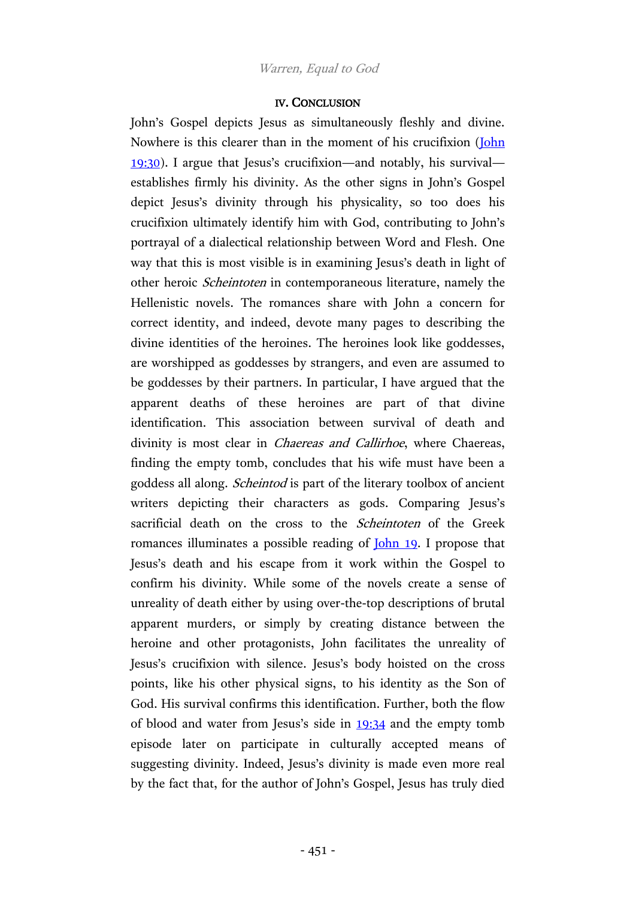#### IV. CONCLUSION

John's Gospel depicts Jesus as simultaneously fleshly and divine. Nowhere is this clearer than in the moment of his crucifixion (*John*) [19:30\)](http://www.academic-bible.com/bible-text/John19.30/NA/). I argue that Jesus's crucifixion—and notably, his survival establishes firmly his divinity. As the other signs in John's Gospel depict Jesus's divinity through his physicality, so too does his crucifixion ultimately identify him with God, contributing to John's portrayal of a dialectical relationship between Word and Flesh. One way that this is most visible is in examining Jesus's death in light of other heroic Scheintoten in contemporaneous literature, namely the Hellenistic novels. The romances share with John a concern for correct identity, and indeed, devote many pages to describing the divine identities of the heroines. The heroines look like goddesses, are worshipped as goddesses by strangers, and even are assumed to be goddesses by their partners. In particular, I have argued that the apparent deaths of these heroines are part of that divine identification. This association between survival of death and divinity is most clear in *Chaereas and Callirhoe*, where Chaereas, finding the empty tomb, concludes that his wife must have been a goddess all along. Scheintod is part of the literary toolbox of ancient writers depicting their characters as gods. Comparing Jesus's sacrificial death on the cross to the *Scheintoten* of the Greek romances illuminates a possible reading of <u>John 19</u>. I propose that Jesus's death and his escape from it work within the Gospel to confirm his divinity. While some of the novels create a sense of unreality of death either by using over-the-top descriptions of brutal apparent murders, or simply by creating distance between the heroine and other protagonists, John facilitates the unreality of Jesus's crucifixion with silence. Jesus's body hoisted on the cross points, like his other physical signs, to his identity as the Son of God. His survival confirms this identification. Further, both the flow of blood and water from Jesus's side in [19:34](http://www.academic-bible.com/bible-text/John19.34/NA/) and the empty tomb episode later on participate in culturally accepted means of suggesting divinity. Indeed, Jesus's divinity is made even more real by the fact that, for the author of John's Gospel, Jesus has truly died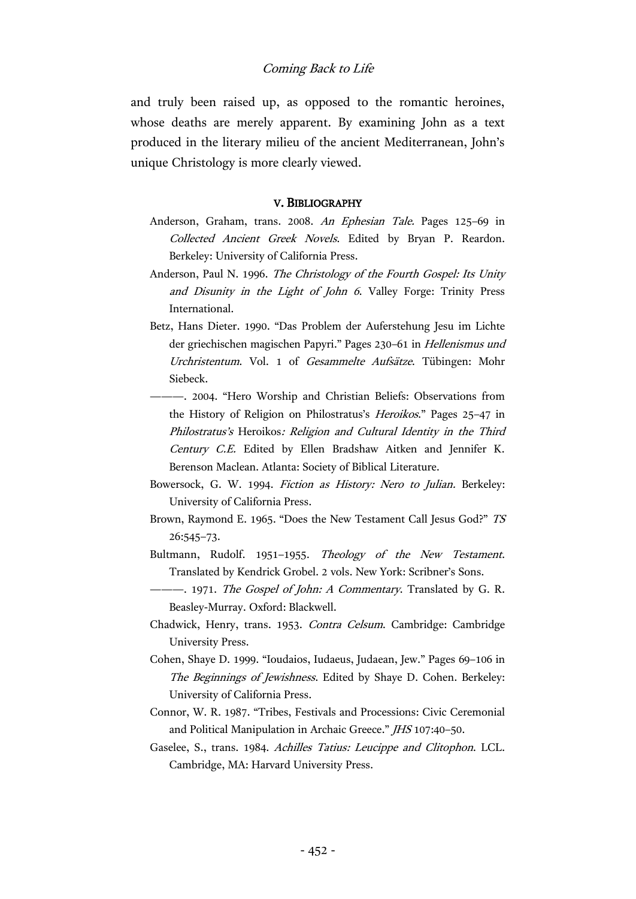and truly been raised up, as opposed to the romantic heroines, whose deaths are merely apparent. By examining John as a text produced in the literary milieu of the ancient Mediterranean, John's unique Christology is more clearly viewed.

#### V. BIBLIOGRAPHY

- Anderson, Graham, trans. 2008. An Ephesian Tale. Pages 125–69 in Collected Ancient Greek Novels. Edited by Bryan P. Reardon. Berkeley: University of California Press.
- Anderson, Paul N. 1996. The Christology of the Fourth Gospel: Its Unity and Disunity in the Light of John 6. Valley Forge: Trinity Press International.
- Betz, Hans Dieter. 1990. "Das Problem der Auferstehung Jesu im Lichte der griechischen magischen Papyri." Pages 230-61 in Hellenismus und Urchristentum. Vol. 1 of Gesammelte Aufsätze. Tübingen: Mohr Siebeck.
- ———. 2004. "Hero Worship and Christian Beliefs: Observations from the History of Religion on Philostratus's Heroikos." Pages 25–47 in Philostratus's Heroikos: Religion and Cultural Identity in the Third Century C.E. Edited by Ellen Bradshaw Aitken and Jennifer K. Berenson Maclean. Atlanta: Society of Biblical Literature.
- Bowersock, G. W. 1994. Fiction as History: Nero to Julian. Berkeley: University of California Press.
- Brown, Raymond E. 1965. "Does the New Testament Call Jesus God?" TS 26:545–73.
- Bultmann, Rudolf. 1951-1955. Theology of the New Testament. Translated by Kendrick Grobel. 2 vols. New York: Scribner's Sons.
- 1971. The Gospel of John: A Commentary. Translated by G. R. Beasley-Murray. Oxford: Blackwell.
- Chadwick, Henry, trans. 1953. Contra Celsum. Cambridge: Cambridge University Press.
- Cohen, Shaye D. 1999. "Ioudaios, Iudaeus, Judaean, Jew." Pages 69–106 in The Beginnings of Jewishness. Edited by Shaye D. Cohen. Berkeley: University of California Press.
- Connor, W. R. 1987. "Tribes, Festivals and Processions: Civic Ceremonial and Political Manipulation in Archaic Greece." *JHS* 107:40-50.
- Gaselee, S., trans. 1984. Achilles Tatius: Leucippe and Clitophon. LCL. Cambridge, MA: Harvard University Press.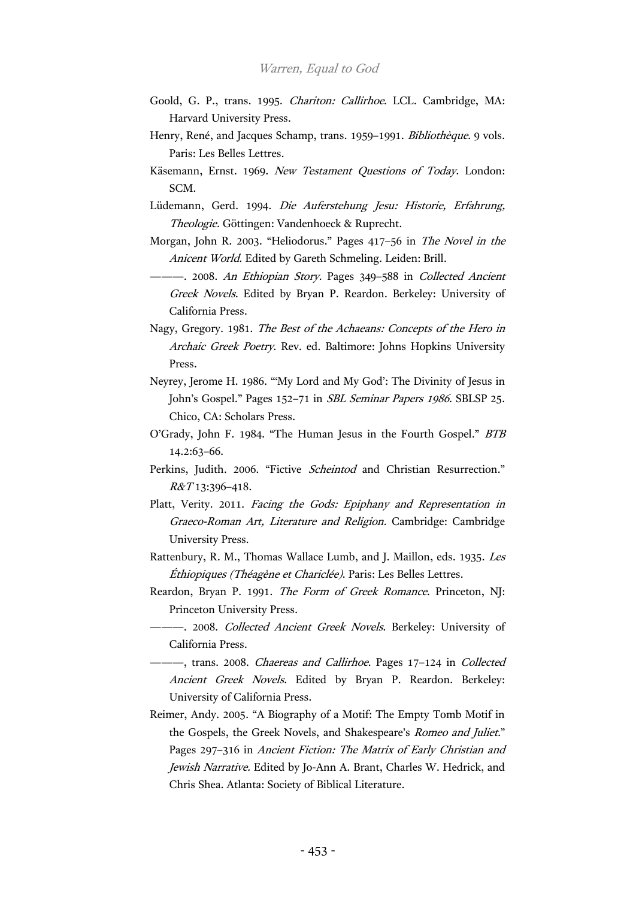- Goold, G. P., trans. 1995. Chariton: Callirhoe. LCL. Cambridge, MA: Harvard University Press.
- Henry, René, and Jacques Schamp, trans. 1959–1991. Bibliothèque. 9 vols. Paris: Les Belles Lettres.
- Käsemann, Ernst. 1969. New Testament Questions of Today. London: SCM.
- Lüdemann, Gerd. 1994. Die Auferstehung Jesu: Historie, Erfahrung, Theologie. Göttingen: Vandenhoeck & Ruprecht.
- Morgan, John R. 2003. "Heliodorus." Pages 417–56 in The Novel in the Anicent World. Edited by Gareth Schmeling. Leiden: Brill.
	- -. 2008. An Ethiopian Story. Pages 349-588 in Collected Ancient Greek Novels. Edited by Bryan P. Reardon. Berkeley: University of California Press.
- Nagy, Gregory. 1981. The Best of the Achaeans: Concepts of the Hero in Archaic Greek Poetry. Rev. ed. Baltimore: Johns Hopkins University Press.
- Neyrey, Jerome H. 1986. "'My Lord and My God': The Divinity of Jesus in John's Gospel." Pages 152–71 in SBL Seminar Papers 1986. SBLSP 25. Chico, CA: Scholars Press.
- O'Grady, John F. 1984. "The Human Jesus in the Fourth Gospel." BTB 14.2:63–66.
- Perkins, Judith. 2006. "Fictive Scheintod and Christian Resurrection."  $R&T13:396-418.$
- Platt, Verity. 2011. Facing the Gods: Epiphany and Representation in Graeco-Roman Art, Literature and Religion. Cambridge: Cambridge University Press.
- Rattenbury, R. M., Thomas Wallace Lumb, and J. Maillon, eds. 1935. Les Éthiopiques (Théagène et Chariclée). Paris: Les Belles Lettres.
- Reardon, Bryan P. 1991. The Form of Greek Romance. Princeton, NJ: Princeton University Press.
- -- 2008. Collected Ancient Greek Novels. Berkeley: University of California Press.
- ---, trans. 2008. Chaereas and Callirhoe. Pages 17-124 in Collected Ancient Greek Novels. Edited by Bryan P. Reardon. Berkeley: University of California Press.
- Reimer, Andy. 2005. "A Biography of a Motif: The Empty Tomb Motif in the Gospels, the Greek Novels, and Shakespeare's Romeo and Juliet." Pages 297-316 in Ancient Fiction: The Matrix of Early Christian and Jewish Narrative. Edited by Jo-Ann A. Brant, Charles W. Hedrick, and Chris Shea. Atlanta: Society of Biblical Literature.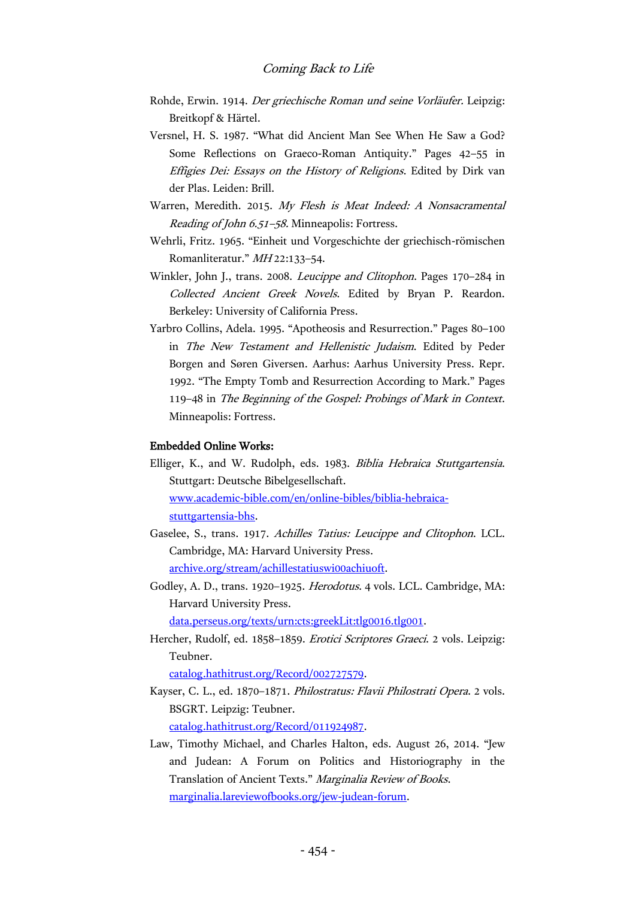- Rohde, Erwin. 1914. Der griechische Roman und seine Vorläufer. Leipzig: Breitkopf & Härtel.
- Versnel, H. S. 1987. "What did Ancient Man See When He Saw a God? Some Reflections on Graeco-Roman Antiquity." Pages 42–55 in Effigies Dei: Essays on the History of Religions. Edited by Dirk van der Plas. Leiden: Brill.
- Warren, Meredith. 2015. My Flesh is Meat Indeed: A Nonsacramental Reading of John 6.51–58. Minneapolis: Fortress.
- Wehrli, Fritz. 1965. "Einheit und Vorgeschichte der griechisch-römischen Romanliteratur." MH 22:133–54.
- Winkler, John J., trans. 2008. Leucippe and Clitophon. Pages 170–284 in Collected Ancient Greek Novels. Edited by Bryan P. Reardon. Berkeley: University of California Press.
- Yarbro Collins, Adela. 1995. "Apotheosis and Resurrection." Pages 80–100 in The New Testament and Hellenistic Judaism. Edited by Peder Borgen and Søren Giversen. Aarhus: Aarhus University Press. Repr. 1992. "The Empty Tomb and Resurrection According to Mark." Pages 119–48 in The Beginning of the Gospel: Probings of Mark in Context. Minneapolis: Fortress.

#### Embedded Online Works:

- Elliger, K., and W. Rudolph, eds. 1983. Biblia Hebraica Stuttgartensia. Stuttgart: Deutsche Bibelgesellschaft. [www.academic-bible.com/en/online-bibles/biblia-hebraica](http://www.academic-bible.com/en/online-bibles/biblia-hebraica-stuttgartensia-bhs)[stuttgartensia-bhs.](http://www.academic-bible.com/en/online-bibles/biblia-hebraica-stuttgartensia-bhs)
- Gaselee, S., trans. 1917. Achilles Tatius: Leucippe and Clitophon. LCL. Cambridge, MA: Harvard University Press. [archive.org/stream/achillestatiuswi00achiuoft.](https://archive.org/stream/achillestatiuswi00achiuoft)
- Godley, A. D., trans. 1920–1925. Herodotus. 4 vols. LCL. Cambridge, MA: Harvard University Press.

[data.perseus.org/texts/urn:cts:greekLit:tlg0016.tlg001.](http://data.perseus.org/texts/urn:cts:greekLit:tlg0016.tlg001)

Hercher, Rudolf, ed. 1858-1859. Erotici Scriptores Graeci. 2 vols. Leipzig: Teubner.

[catalog.hathitrust.org/Record/002727579.](https://catalog.hathitrust.org/Record/002727579)

- Kayser, C. L., ed. 1870–1871. Philostratus: Flavii Philostrati Opera. 2 vols. BSGRT. Leipzig: Teubner. [catalog.hathitrust.org/Record/011924987.](https://catalog.hathitrust.org/Record/011924987)
- Law, Timothy Michael, and Charles Halton, eds. August 26, 2014. "Jew and Judean: A Forum on Politics and Historiography in the Translation of Ancient Texts." Marginalia Review of Books. [marginalia.lareviewofbooks.org/jew-judean-forum.](http://marginalia.lareviewofbooks.org/jew-judean-forum)